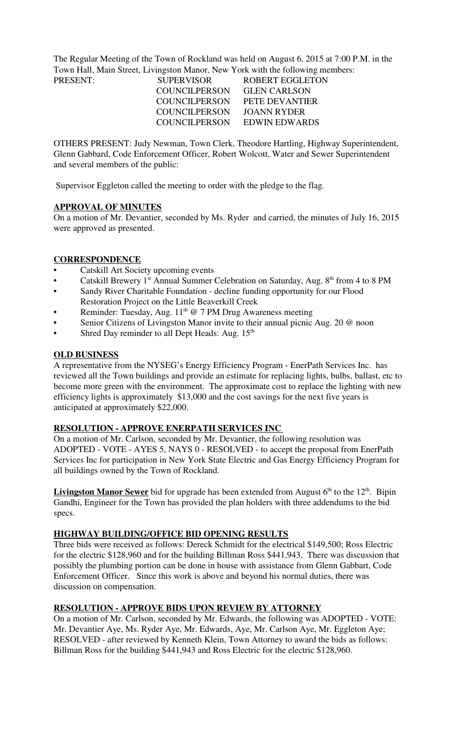The Regular Meeting of the Town of Rockland was held on August 6, 2015 at 7:00 P.M. in the Town Hall, Main Street, Livingston Manor, New York with the following members:

| PRESENT: | <b>SUPERVISOR</b> | ROBERT EGGLETON       |
|----------|-------------------|-----------------------|
|          | COUNCILPERSON     | <b>GLEN CARLSON</b>   |
|          | COUNCILPERSON     | <b>PETE DEVANTIER</b> |
|          | COUNCILPERSON     | JOANN RYDER           |
|          | COUNCILPERSON     | EDWIN EDWARDS         |

OTHERS PRESENT: Judy Newman, Town Clerk, Theodore Hartling, Highway Superintendent, Glenn Gabbard, Code Enforcement Officer, Robert Wolcott, Water and Sewer Superintendent and several members of the public:

Supervisor Eggleton called the meeting to order with the pledge to the flag.

### **APPROVAL OF MINUTES**

On a motion of Mr. Devantier, seconded by Ms. Ryder and carried, the minutes of July 16, 2015 were approved as presented.

### **CORRESPONDENCE**

- Catskill Art Society upcoming events
- Catskill Brewery 1<sup>st</sup> Annual Summer Celebration on Saturday, Aug. 8<sup>th</sup> from 4 to 8 PM
- Sandy River Charitable Foundation decline funding opportunity for our Flood Restoration Project on the Little Beaverkill Creek
- Reminder: Tuesday, Aug.  $11<sup>th</sup>$  @ 7 PM Drug Awareness meeting
- Senior Citizens of Livingston Manor invite to their annual picnic Aug. 20 @ noon
- Shred Day reminder to all Dept Heads: Aug.  $15<sup>th</sup>$

### **OLD BUSINESS**

A representative from the NYSEG's Energy Efficiency Program - EnerPath Services Inc. has reviewed all the Town buildings and provide an estimate for replacing lights, bulbs, ballast, etc to become more green with the environment. The approximate cost to replace the lighting with new efficiency lights is approximately \$13,000 and the cost savings for the next five years is anticipated at approximately \$22,000.

#### **RESOLUTION - APPROVE ENERPATH SERVICES INC**

On a motion of Mr. Carlson, seconded by Mr. Devantier, the following resolution was ADOPTED - VOTE - AYES 5, NAYS 0 - RESOLVED - to accept the proposal from EnerPath Services Inc for participation in New York State Electric and Gas Energy Efficiency Program for all buildings owned by the Town of Rockland.

**Livingston Manor Sewer** bid for upgrade has been extended from August  $6<sup>th</sup>$  to the  $12<sup>th</sup>$ . Bipin Gandhi, Engineer for the Town has provided the plan holders with three addendums to the bid specs.

#### **HIGHWAY BUILDING/OFFICE BID OPENING RESULTS**

Three bids were received as follows: Dereck Schmidt for the electrical \$149,500; Ross Electric for the electric \$128,960 and for the building Billman Ross \$441,943. There was discussion that possibly the plumbing portion can be done in house with assistance from Glenn Gabbart, Code Enforcement Officer. Since this work is above and beyond his normal duties, there was discussion on compensation.

### **RESOLUTION - APPROVE BIDS UPON REVIEW BY ATTORNEY**

On a motion of Mr. Carlson, seconded by Mr. Edwards, the following was ADOPTED - VOTE: Mr. Devantier Aye, Ms. Ryder Aye, Mr. Edwards, Aye, Mr. Carlson Aye, Mr. Eggleton Aye; RESOLVED - after reviewed by Kenneth Klein, Town Attorney to award the bids as follows: Billman Ross for the building \$441,943 and Ross Electric for the electric \$128,960.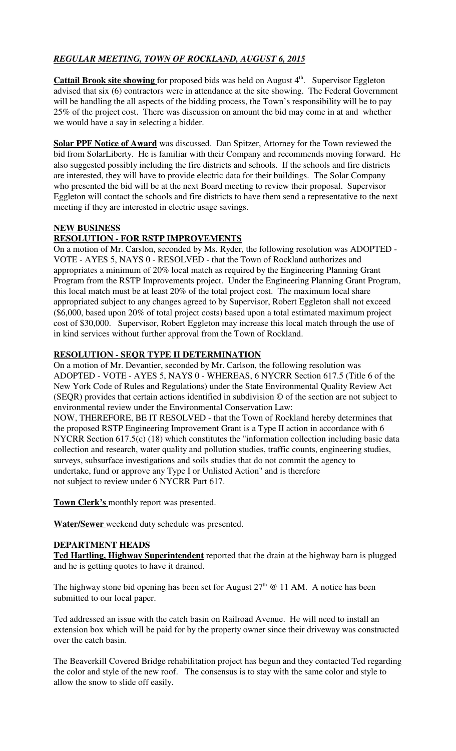# *REGULAR MEETING, TOWN OF ROCKLAND, AUGUST 6, 2015*

**Cattail Brook site showing** for proposed bids was held on August 4<sup>th</sup>. Supervisor Eggleton advised that six (6) contractors were in attendance at the site showing. The Federal Government will be handling the all aspects of the bidding process, the Town's responsibility will be to pay 25% of the project cost. There was discussion on amount the bid may come in at and whether we would have a say in selecting a bidder.

**Solar PPF Notice of Award** was discussed. Dan Spitzer, Attorney for the Town reviewed the bid from SolarLiberty. He is familiar with their Company and recommends moving forward. He also suggested possibly including the fire districts and schools. If the schools and fire districts are interested, they will have to provide electric data for their buildings. The Solar Company who presented the bid will be at the next Board meeting to review their proposal. Supervisor Eggleton will contact the schools and fire districts to have them send a representative to the next meeting if they are interested in electric usage savings.

## **NEW BUSINESS**

## **RESOLUTION - FOR RSTP IMPROVEMENTS**

On a motion of Mr. Carslon, seconded by Ms. Ryder, the following resolution was ADOPTED - VOTE - AYES 5, NAYS 0 - RESOLVED - that the Town of Rockland authorizes and appropriates a minimum of 20% local match as required by the Engineering Planning Grant Program from the RSTP Improvements project. Under the Engineering Planning Grant Program, this local match must be at least 20% of the total project cost. The maximum local share appropriated subject to any changes agreed to by Supervisor, Robert Eggleton shall not exceed (\$6,000, based upon 20% of total project costs) based upon a total estimated maximum project cost of \$30,000. Supervisor, Robert Eggleton may increase this local match through the use of in kind services without further approval from the Town of Rockland.

## **RESOLUTION - SEQR TYPE II DETERMINATION**

On a motion of Mr. Devantier, seconded by Mr. Carlson, the following resolution was ADOPTED - VOTE - AYES 5, NAYS 0 - WHEREAS, 6 NYCRR Section 617.5 (Title 6 of the New York Code of Rules and Regulations) under the State Environmental Quality Review Act (SEQR) provides that certain actions identified in subdivision © of the section are not subject to environmental review under the Environmental Conservation Law: NOW, THEREFORE, BE IT RESOLVED - that the Town of Rockland hereby determines that the proposed RSTP Engineering Improvement Grant is a Type II action in accordance with 6 NYCRR Section 617.5(c) (18) which constitutes the "information collection including basic data collection and research, water quality and pollution studies, traffic counts, engineering studies, surveys, subsurface investigations and soils studies that do not commit the agency to undertake, fund or approve any Type I or Unlisted Action" and is therefore

not subject to review under 6 NYCRR Part 617.

**Town Clerk's** monthly report was presented.

**Water/Sewer** weekend duty schedule was presented.

### **DEPARTMENT HEADS**

**Ted Hartling, Highway Superintendent** reported that the drain at the highway barn is plugged and he is getting quotes to have it drained.

The highway stone bid opening has been set for August  $27<sup>th</sup>$  @ 11 AM. A notice has been submitted to our local paper.

Ted addressed an issue with the catch basin on Railroad Avenue. He will need to install an extension box which will be paid for by the property owner since their driveway was constructed over the catch basin.

The Beaverkill Covered Bridge rehabilitation project has begun and they contacted Ted regarding the color and style of the new roof. The consensus is to stay with the same color and style to allow the snow to slide off easily.